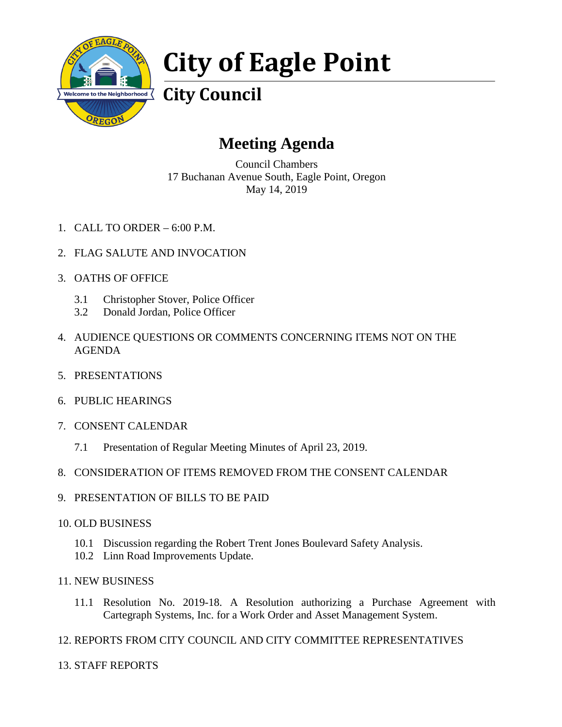

## **City of Eagle Point**

**City Council**

## **Meeting Agenda**

Council Chambers 17 Buchanan Avenue South, Eagle Point, Oregon May 14, 2019

- 1. CALL TO ORDER 6:00 P.M.
- 2. FLAG SALUTE AND INVOCATION
- 3. OATHS OF OFFICE
	- 3.1 Christopher Stover, Police Officer
	- 3.2 Donald Jordan, Police Officer
- 4. AUDIENCE QUESTIONS OR COMMENTS CONCERNING ITEMS NOT ON THE AGENDA
- 5. PRESENTATIONS
- 6. PUBLIC HEARINGS
- 7. CONSENT CALENDAR
	- 7.1 Presentation of Regular Meeting Minutes of April 23, 2019.
- 8. CONSIDERATION OF ITEMS REMOVED FROM THE CONSENT CALENDAR
- 9. PRESENTATION OF BILLS TO BE PAID
- 10. OLD BUSINESS
	- 10.1 Discussion regarding the Robert Trent Jones Boulevard Safety Analysis.
	- 10.2 Linn Road Improvements Update.
- 11. NEW BUSINESS
	- 11.1 Resolution No. 2019-18. A Resolution authorizing a Purchase Agreement with Cartegraph Systems, Inc. for a Work Order and Asset Management System.
- 12. REPORTS FROM CITY COUNCIL AND CITY COMMITTEE REPRESENTATIVES
- 13. STAFF REPORTS